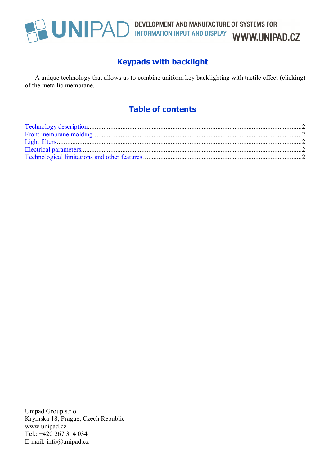

# **UNIPAD** DEVELOPMENT AND MANUFACTURE OF SYSTEMS FOR INFORMATION INPUT AND DISPLAY WWW.UNIPAD.CZ

## **Keypads with backlight**

A unique technology that allows us to combine uniform key backlighting with tactile effect (clicking) of the metallic membrane.

## **Table of contents**

Unipad Group s.r.o. Krymska 18, Prague, Czech Republic www.unipad.cz Tel.: +420 267 314 034 E-mail: info@unipad.cz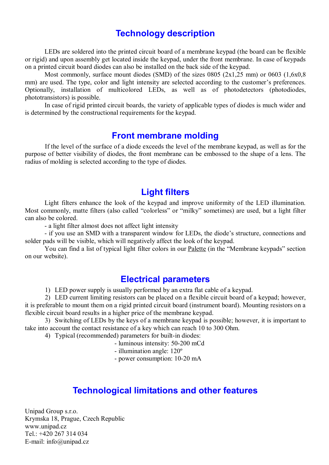## **Technology description**

LEDs are soldered into the printed circuit board of a membrane keypad (the board can be flexible or rigid) and upon assembly get located inside the keypad, under the front membrane. In case of keypads on a printed circuit board diodes can also be installed on the back side of the keypad.

Most commonly, surface mount diodes (SMD) of the sizes 0805 (2x1,25 mm) or 0603 (1,6x0,8) mm) are used. The type, color and light intensity are selected according to the customer's preferences. Optionally, installation of multicolored LEDs, as well as of photodetectors (photodiodes, phototransistors) is possible.

In case of rigid printed circuit boards, the variety of applicable types of diodes is much wider and is determined by the constructional requirements for the keypad.

#### **Front membrane molding**

If the level of the surface of a diode exceeds the level of the membrane keypad, as well as for the purpose of better visibility of diodes, the front membrane can be embossed to the shape of a lens. The radius of molding is selected according to the type of diodes.

#### **Light filters**

Light filters enhance the look of the keypad and improve uniformity of the LED illumination. Most commonly, matte filters (also called "colorless" or "milky" sometimes) are used, but a light filter can also be colored.

- a light filter almost does not affect light intensity

- if you use an SMD with a transparent window for LEDs, the diode's structure, connections and solder pads will be visible, which will negatively affect the look of the keypad.

You can find a list of typical light filter colors in our Palette (in the "Membrane keypads" section on our website).

#### **Electrical parameters**

1) LED power supply is usually performed by an extra flat cable of a keypad.

2) LED current limiting resistors can be placed on a flexible circuit board of a keypad; however, it is preferable to mount them on a rigid printed circuit board (instrument board). Mounting resistors on a flexible circuit board results in a higher price of the membrane keypad.

3) Switching of LEDs by the keys of a membrane keypad is possible; however, it is important to take into account the contact resistance of a key which can reach 10 to 300 Ohm.

4) Typical (recommended) parameters for built-in diodes:

- luminous intensity: 50-200 mCd
- illumination angle: 120º
- power consumption: 10-20 mA

## **Technological limitations and other features**

Unipad Group s.r.o. Krymska 18, Prague, Czech Republic www.unipad.cz Tel.: +420 267 314 034 E-mail: info@unipad.cz